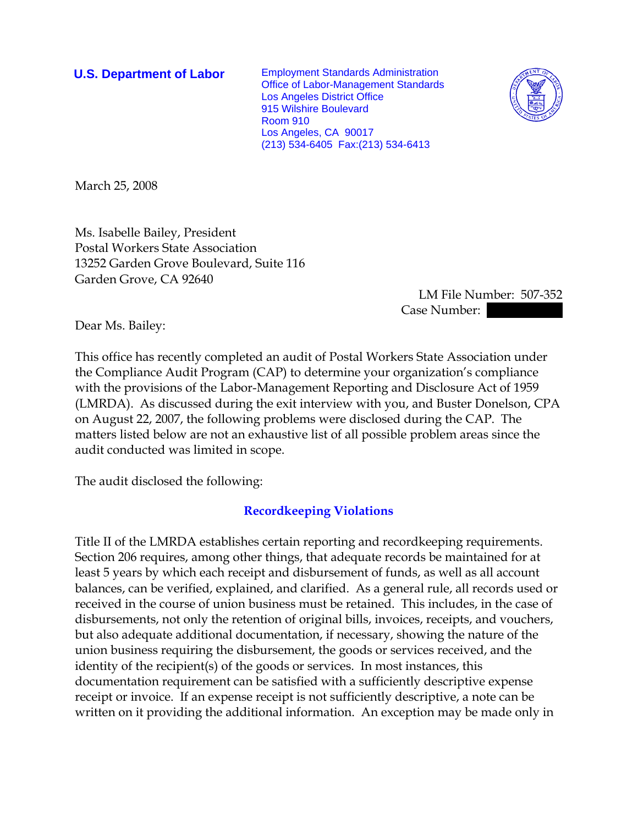**U.S. Department of Labor** Employment Standards Administration Office of Labor-Management Standards Los Angeles District Office 915 Wilshire Boulevard Room 910 Los Angeles, CA 90017 (213) 534-6405 Fax:(213) 534-6413



March 25, 2008

Ms. Isabelle Bailey, President Postal Workers State Association 13252 Garden Grove Boulevard, Suite 116 Garden Grove, CA 92640

> LM File Number: 507-352 Case Number:

Dear Ms. Bailey:

This office has recently completed an audit of Postal Workers State Association under the Compliance Audit Program (CAP) to determine your organization's compliance with the provisions of the Labor-Management Reporting and Disclosure Act of 1959 (LMRDA). As discussed during the exit interview with you, and Buster Donelson, CPA on August 22, 2007, the following problems were disclosed during the CAP. The matters listed below are not an exhaustive list of all possible problem areas since the audit conducted was limited in scope.

The audit disclosed the following:

## **Recordkeeping Violations**

Title II of the LMRDA establishes certain reporting and recordkeeping requirements. Section 206 requires, among other things, that adequate records be maintained for at least 5 years by which each receipt and disbursement of funds, as well as all account balances, can be verified, explained, and clarified. As a general rule, all records used or received in the course of union business must be retained. This includes, in the case of disbursements, not only the retention of original bills, invoices, receipts, and vouchers, but also adequate additional documentation, if necessary, showing the nature of the union business requiring the disbursement, the goods or services received, and the identity of the recipient(s) of the goods or services. In most instances, this documentation requirement can be satisfied with a sufficiently descriptive expense receipt or invoice. If an expense receipt is not sufficiently descriptive, a note can be written on it providing the additional information. An exception may be made only in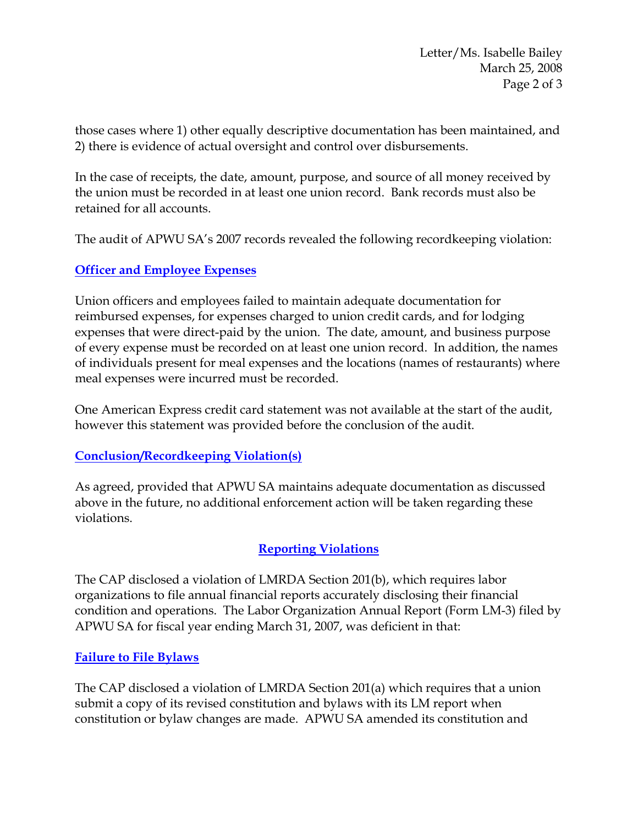those cases where 1) other equally descriptive documentation has been maintained, and 2) there is evidence of actual oversight and control over disbursements.

In the case of receipts, the date, amount, purpose, and source of all money received by the union must be recorded in at least one union record. Bank records must also be retained for all accounts.

The audit of APWU SA's 2007 records revealed the following recordkeeping violation:

# **Officer and Employee Expenses**

Union officers and employees failed to maintain adequate documentation for reimbursed expenses, for expenses charged to union credit cards, and for lodging expenses that were direct-paid by the union. The date, amount, and business purpose of every expense must be recorded on at least one union record. In addition, the names of individuals present for meal expenses and the locations (names of restaurants) where meal expenses were incurred must be recorded.

One American Express credit card statement was not available at the start of the audit, however this statement was provided before the conclusion of the audit.

## **Conclusion/Recordkeeping Violation(s)**

As agreed, provided that APWU SA maintains adequate documentation as discussed above in the future, no additional enforcement action will be taken regarding these violations.

## **Reporting Violations**

The CAP disclosed a violation of LMRDA Section 201(b), which requires labor organizations to file annual financial reports accurately disclosing their financial condition and operations. The Labor Organization Annual Report (Form LM-3) filed by APWU SA for fiscal year ending March 31, 2007, was deficient in that:

## **Failure to File Bylaws**

The CAP disclosed a violation of LMRDA Section 201(a) which requires that a union submit a copy of its revised constitution and bylaws with its LM report when constitution or bylaw changes are made. APWU SA amended its constitution and